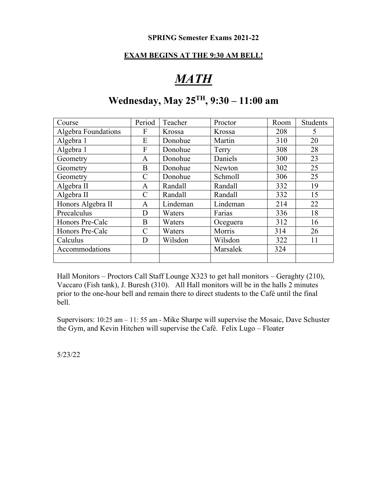#### **EXAM BEGINS AT THE 9:30 AM BELL!**

# *MATH*

## **Wednesday, May 25TH, 9:30 – 11:00 am**

| Course              | Period        | Teacher  | Proctor  | Room | <b>Students</b> |
|---------------------|---------------|----------|----------|------|-----------------|
| Algebra Foundations | F             | Krossa   | Krossa   | 208  | 5               |
| Algebra 1           | E             | Donohue  | Martin   | 310  | 20              |
| Algebra 1           | F             | Donohue  | Terry    | 308  | 28              |
| Geometry            | A             | Donohue  | Daniels  | 300  | 23              |
| Geometry            | B             | Donohue  | Newton   | 302  | 25              |
| Geometry            | C             | Donohue  | Schmoll  | 306  | 25              |
| Algebra II          | A             | Randall  | Randall  | 332  | 19              |
| Algebra II          | $\mathcal{C}$ | Randall  | Randall  | 332  | 15              |
| Honors Algebra II   | A             | Lindeman | Lindeman | 214  | 22              |
| Precalculus         | D             | Waters   | Farias   | 336  | 18              |
| Honors Pre-Calc     | B             | Waters   | Oceguera | 312  | 16              |
| Honors Pre-Calc     | C             | Waters   | Morris   | 314  | 26              |
| Calculus            | D             | Wilsdon  | Wilsdon  | 322  | 11              |
| Accommodations      |               |          | Marsalek | 324  |                 |
|                     |               |          |          |      |                 |

Hall Monitors – Proctors Call Staff Lounge X323 to get hall monitors – Geraghty (210), Vaccaro (Fish tank), J. Buresh (310). All Hall monitors will be in the halls 2 minutes prior to the one-hour bell and remain there to direct students to the Café until the final bell.

Supervisors: 10:25 am – 11: 55 am - Mike Sharpe will supervise the Mosaic, Dave Schuster the Gym, and Kevin Hitchen will supervise the Café. Felix Lugo – Floater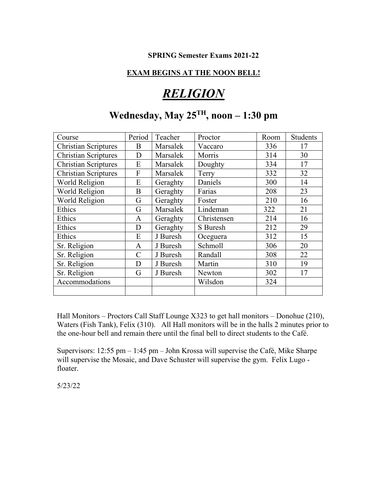#### **EXAM BEGINS AT THE NOON BELL!**

## *RELIGION*

## **Wednesday, May 25TH, noon – 1:30 pm**

| Course                      | Period        | Teacher  | Proctor     | Room | <b>Students</b> |
|-----------------------------|---------------|----------|-------------|------|-----------------|
| <b>Christian Scriptures</b> | B             | Marsalek | Vaccaro     | 336  | 17              |
| <b>Christian Scriptures</b> | D             | Marsalek | Morris      | 314  | 30              |
| <b>Christian Scriptures</b> | E             | Marsalek | Doughty     | 334  | 17              |
| <b>Christian Scriptures</b> | F             | Marsalek | Terry       | 332  | 32              |
| World Religion              | E             | Geraghty | Daniels     | 300  | 14              |
| World Religion              | B             | Geraghty | Farias      | 208  | 23              |
| World Religion              | G             | Geraghty | Foster      | 210  | 16              |
| Ethics                      | G             | Marsalek | Lindeman    | 322  | 21              |
| Ethics                      | A             | Geraghty | Christensen | 214  | 16              |
| Ethics                      | D             | Geraghty | S Buresh    | 212  | 29              |
| Ethics                      | E             | J Buresh | Oceguera    | 312  | 15              |
| Sr. Religion                | A             | J Buresh | Schmoll     | 306  | 20              |
| Sr. Religion                | $\mathcal{C}$ | J Buresh | Randall     | 308  | 22              |
| Sr. Religion                | D             | J Buresh | Martin      | 310  | 19              |
| Sr. Religion                | G             | J Buresh | Newton      | 302  | 17              |
| Accommodations              |               |          | Wilsdon     | 324  |                 |
|                             |               |          |             |      |                 |

Hall Monitors – Proctors Call Staff Lounge X323 to get hall monitors – Donohue (210), Waters (Fish Tank), Felix (310). All Hall monitors will be in the halls 2 minutes prior to the one-hour bell and remain there until the final bell to direct students to the Café.

Supervisors: 12:55 pm – 1:45 pm – John Krossa will supervise the Café, Mike Sharpe will supervise the Mosaic, and Dave Schuster will supervise the gym. Felix Lugo floater.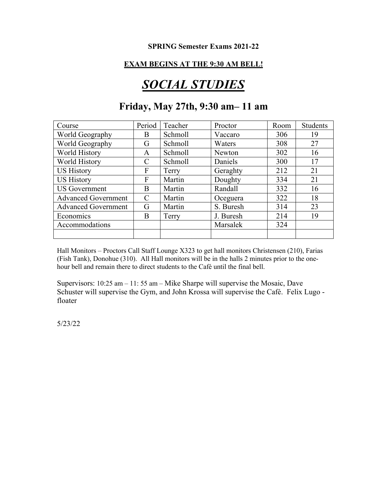#### **EXAM BEGINS AT THE 9:30 AM BELL!**

# *SOCIAL STUDIES*

### **Friday, May 27th, 9:30 am– 11 am**

| Course                     | Period        | Teacher | Proctor   | Room | <b>Students</b> |
|----------------------------|---------------|---------|-----------|------|-----------------|
| World Geography            | B             | Schmoll | Vaccaro   | 306  | 19              |
| World Geography            | G             | Schmoll | Waters    | 308  | 27              |
| World History              | A             | Schmoll | Newton    | 302  | 16              |
| World History              | C             | Schmoll | Daniels   | 300  | 17              |
| <b>US History</b>          | F             | Terry   | Geraghty  | 212  | 21              |
| <b>US History</b>          | F             | Martin  | Doughty   | 334  | 21              |
| <b>US</b> Government       | B             | Martin  | Randall   | 332  | 16              |
| <b>Advanced Government</b> | $\mathcal{C}$ | Martin  | Oceguera  | 322  | 18              |
| <b>Advanced Government</b> | G             | Martin  | S. Buresh | 314  | 23              |
| Economics                  | B             | Terry   | J. Buresh | 214  | 19              |
| Accommodations             |               |         | Marsalek  | 324  |                 |
|                            |               |         |           |      |                 |

Hall Monitors – Proctors Call Staff Lounge X323 to get hall monitors Christensen (210), Farias (Fish Tank), Donohue (310). All Hall monitors will be in the halls 2 minutes prior to the onehour bell and remain there to direct students to the Café until the final bell.

Supervisors: 10:25 am – 11: 55 am – Mike Sharpe will supervise the Mosaic, Dave Schuster will supervise the Gym, and John Krossa will supervise the Café. Felix Lugo floater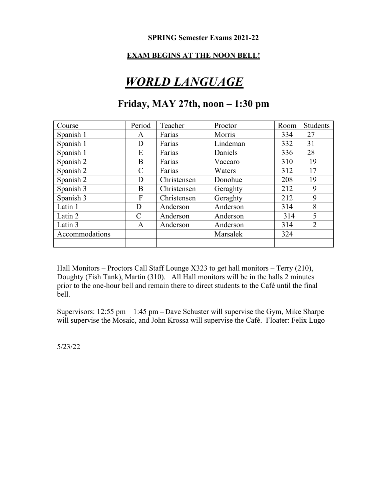#### **EXAM BEGINS AT THE NOON BELL!**

## *WORLD LANGUAGE*

### **Friday, MAY 27th, noon – 1:30 pm**

| Course         | Period        | Teacher     | Proctor  | Room | Students       |
|----------------|---------------|-------------|----------|------|----------------|
| Spanish 1      | A             | Farias      | Morris   | 334  | 27             |
| Spanish 1      | D             | Farias      | Lindeman | 332  | 31             |
| Spanish 1      | E             | Farias      | Daniels  | 336  | 28             |
| Spanish 2      | B             | Farias      | Vaccaro  | 310  | 19             |
| Spanish 2      | C             | Farias      | Waters   | 312  | 17             |
| Spanish 2      | D             | Christensen | Donohue  | 208  | 19             |
| Spanish 3      | B             | Christensen | Geraghty | 212  | 9              |
| Spanish 3      | F             | Christensen | Geraghty | 212  | 9              |
| Latin 1        | D             | Anderson    | Anderson | 314  | 8              |
| Latin 2        | $\mathcal{C}$ | Anderson    | Anderson | 314  | 5              |
| Latin 3        | A             | Anderson    | Anderson | 314  | $\overline{2}$ |
| Accommodations |               |             | Marsalek | 324  |                |
|                |               |             |          |      |                |

Hall Monitors – Proctors Call Staff Lounge X323 to get hall monitors – Terry (210), Doughty (Fish Tank), Martin (310). All Hall monitors will be in the halls 2 minutes prior to the one-hour bell and remain there to direct students to the Café until the final bell.

Supervisors: 12:55 pm – 1:45 pm – Dave Schuster will supervise the Gym, Mike Sharpe will supervise the Mosaic, and John Krossa will supervise the Café. Floater: Felix Lugo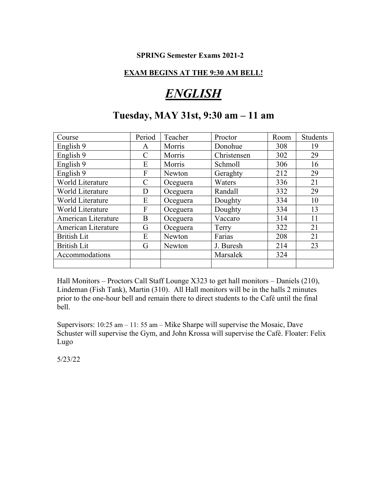#### **EXAM BEGINS AT THE 9:30 AM BELL!**

## *ENGLISH*

### **Tuesday, MAY 31st, 9:30 am – 11 am**

| Course              | Period        | Teacher  | Proctor     | Room | <b>Students</b> |
|---------------------|---------------|----------|-------------|------|-----------------|
| English 9           | A             | Morris   | Donohue     | 308  | 19              |
| English 9           | C             | Morris   | Christensen | 302  | 29              |
| English 9           | E             | Morris   | Schmoll     | 306  | 16              |
| English 9           | F             | Newton   | Geraghty    | 212  | 29              |
| World Literature    | $\mathcal{C}$ | Oceguera | Waters      | 336  | 21              |
| World Literature    | D             | Oceguera | Randall     | 332  | 29              |
| World Literature    | E             | Oceguera | Doughty     | 334  | 10              |
| World Literature    | F             | Oceguera | Doughty     | 334  | 13              |
| American Literature | B             | Oceguera | Vaccaro     | 314  | 11              |
| American Literature | G             | Oceguera | Terry       | 322  | 21              |
| <b>British Lit</b>  | E             | Newton   | Farias      | 208  | 21              |
| <b>British Lit</b>  | G             | Newton   | J. Buresh   | 214  | 23              |
| Accommodations      |               |          | Marsalek    | 324  |                 |
|                     |               |          |             |      |                 |

Hall Monitors – Proctors Call Staff Lounge X323 to get hall monitors – Daniels (210), Lindeman (Fish Tank), Martin (310). All Hall monitors will be in the halls 2 minutes prior to the one-hour bell and remain there to direct students to the Café until the final bell.

Supervisors: 10:25 am – 11: 55 am – Mike Sharpe will supervise the Mosaic, Dave Schuster will supervise the Gym, and John Krossa will supervise the Café. Floater: Felix Lugo